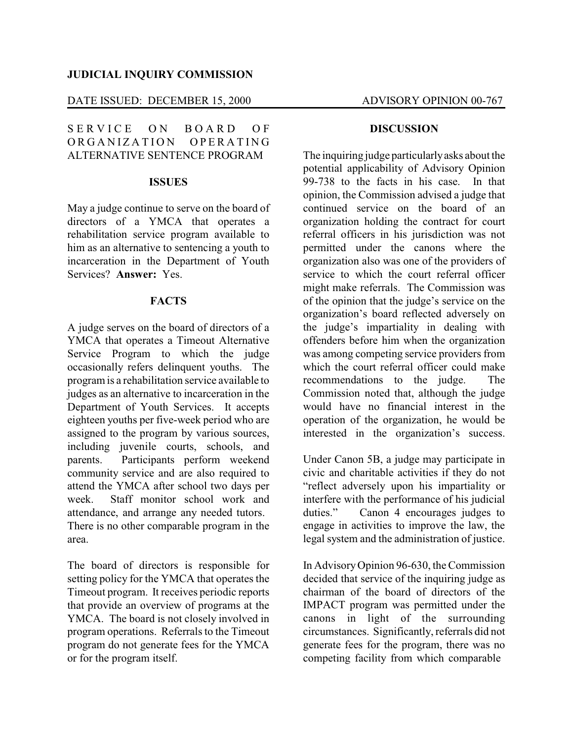### **JUDICIAL INQUIRY COMMISSION**

# DATE ISSUED: DECEMBER 15, 2000 ADVISORY OPINION 00-767

SERVICE ON BOARD OF ORGANIZATION OPERATING ALTERNATIVE SENTENCE PROGRAM

# **ISSUES**

May a judge continue to serve on the board of directors of a YMCA that operates a rehabilitation service program available to him as an alternative to sentencing a youth to incarceration in the Department of Youth Services? **Answer:** Yes.

### **FACTS**

A judge serves on the board of directors of a YMCA that operates a Timeout Alternative Service Program to which the judge occasionally refers delinquent youths. The program is a rehabilitation service available to judges as an alternative to incarceration in the Department of Youth Services. It accepts eighteen youths per five-week period who are assigned to the program by various sources, including juvenile courts, schools, and parents. Participants perform weekend community service and are also required to attend the YMCA after school two days per week. Staff monitor school work and attendance, and arrange any needed tutors. There is no other comparable program in the area.

The board of directors is responsible for setting policy for the YMCA that operates the Timeout program. It receives periodic reports that provide an overview of programs at the YMCA. The board is not closely involved in program operations. Referrals to the Timeout program do not generate fees for the YMCA or for the program itself.

#### **DISCUSSION**

The inquiring judge particularlyasks about the potential applicability of Advisory Opinion 99-738 to the facts in his case. In that opinion, the Commission advised a judge that continued service on the board of an organization holding the contract for court referral officers in his jurisdiction was not permitted under the canons where the organization also was one of the providers of service to which the court referral officer might make referrals. The Commission was of the opinion that the judge's service on the organization's board reflected adversely on the judge's impartiality in dealing with offenders before him when the organization was among competing service providers from which the court referral officer could make recommendations to the judge. The Commission noted that, although the judge would have no financial interest in the operation of the organization, he would be interested in the organization's success.

Under Canon 5B, a judge may participate in civic and charitable activities if they do not "reflect adversely upon his impartiality or interfere with the performance of his judicial duties." Canon 4 encourages judges to engage in activities to improve the law, the legal system and the administration of justice.

In AdvisoryOpinion 96-630, the Commission decided that service of the inquiring judge as chairman of the board of directors of the IMPACT program was permitted under the canons in light of the surrounding circumstances. Significantly, referrals did not generate fees for the program, there was no competing facility from which comparable